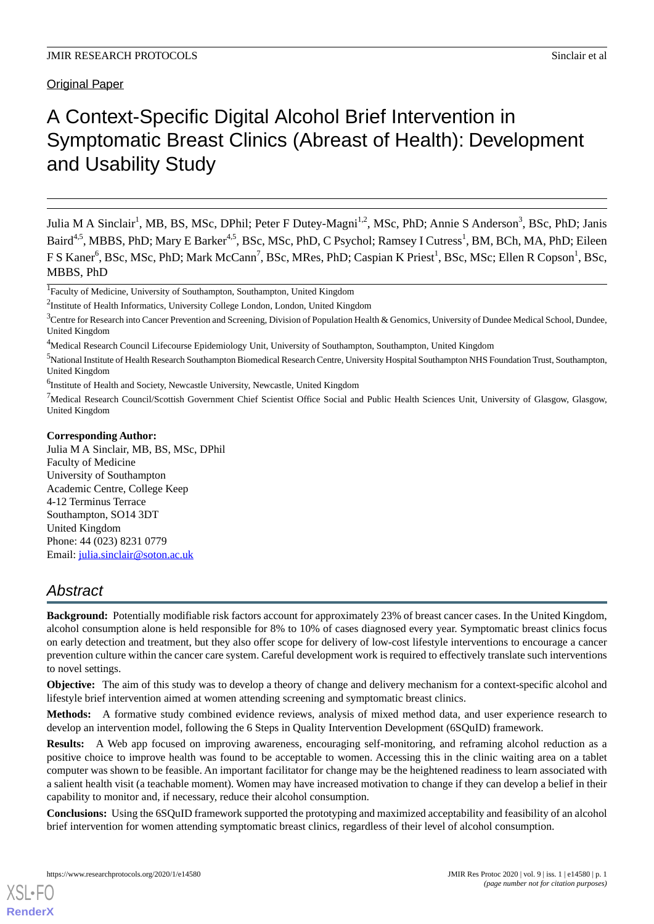# A Context-Specific Digital Alcohol Brief Intervention in Symptomatic Breast Clinics (Abreast of Health): Development and Usability Study

Julia M A Sinclair<sup>1</sup>, MB, BS, MSc, DPhil; Peter F Dutey-Magni<sup>1,2</sup>, MSc, PhD; Annie S Anderson<sup>3</sup>, BSc, PhD; Janis Baird<sup>4,5</sup>, MBBS, PhD; Mary E Barker<sup>4,5</sup>, BSc, MSc, PhD, C Psychol; Ramsey I Cutress<sup>1</sup>, BM, BCh, MA, PhD; Eileen F S Kaner<sup>6</sup>, BSc, MSc, PhD; Mark McCann<sup>7</sup>, BSc, MRes, PhD; Caspian K Priest<sup>1</sup>, BSc, MSc; Ellen R Copson<sup>1</sup>, BSc, MBBS, PhD

## **Corresponding Author:**

Julia M A Sinclair, MB, BS, MSc, DPhil Faculty of Medicine University of Southampton Academic Centre, College Keep 4-12 Terminus Terrace Southampton, SO14 3DT United Kingdom Phone: 44 (023) 8231 0779 Email: [julia.sinclair@soton.ac.uk](mailto:julia.sinclair@soton.ac.uk)

## *Abstract*

**Background:** Potentially modifiable risk factors account for approximately 23% of breast cancer cases. In the United Kingdom, alcohol consumption alone is held responsible for 8% to 10% of cases diagnosed every year. Symptomatic breast clinics focus on early detection and treatment, but they also offer scope for delivery of low-cost lifestyle interventions to encourage a cancer prevention culture within the cancer care system. Careful development work is required to effectively translate such interventions to novel settings.

**Objective:** The aim of this study was to develop a theory of change and delivery mechanism for a context-specific alcohol and lifestyle brief intervention aimed at women attending screening and symptomatic breast clinics.

**Methods:** A formative study combined evidence reviews, analysis of mixed method data, and user experience research to develop an intervention model, following the 6 Steps in Quality Intervention Development (6SQuID) framework.

**Results:** A Web app focused on improving awareness, encouraging self-monitoring, and reframing alcohol reduction as a positive choice to improve health was found to be acceptable to women. Accessing this in the clinic waiting area on a tablet computer was shown to be feasible. An important facilitator for change may be the heightened readiness to learn associated with a salient health visit (a teachable moment). Women may have increased motivation to change if they can develop a belief in their capability to monitor and, if necessary, reduce their alcohol consumption.

**Conclusions:** Using the 6SQuID framework supported the prototyping and maximized acceptability and feasibility of an alcohol brief intervention for women attending symptomatic breast clinics, regardless of their level of alcohol consumption.

<sup>&</sup>lt;sup>1</sup>Faculty of Medicine, University of Southampton, Southampton, United Kingdom

<sup>&</sup>lt;sup>2</sup>Institute of Health Informatics, University College London, London, United Kingdom

 $3$ Centre for Research into Cancer Prevention and Screening, Division of Population Health & Genomics, University of Dundee Medical School, Dundee, United Kingdom

<sup>&</sup>lt;sup>4</sup>Medical Research Council Lifecourse Epidemiology Unit, University of Southampton, Southampton, United Kingdom

<sup>5</sup>National Institute of Health Research Southampton Biomedical Research Centre, University Hospital Southampton NHS Foundation Trust, Southampton, United Kingdom

<sup>&</sup>lt;sup>6</sup>Institute of Health and Society, Newcastle University, Newcastle, United Kingdom

<sup>&</sup>lt;sup>7</sup>Medical Research Council/Scottish Government Chief Scientist Office Social and Public Health Sciences Unit, University of Glasgow, Glasgow, United Kingdom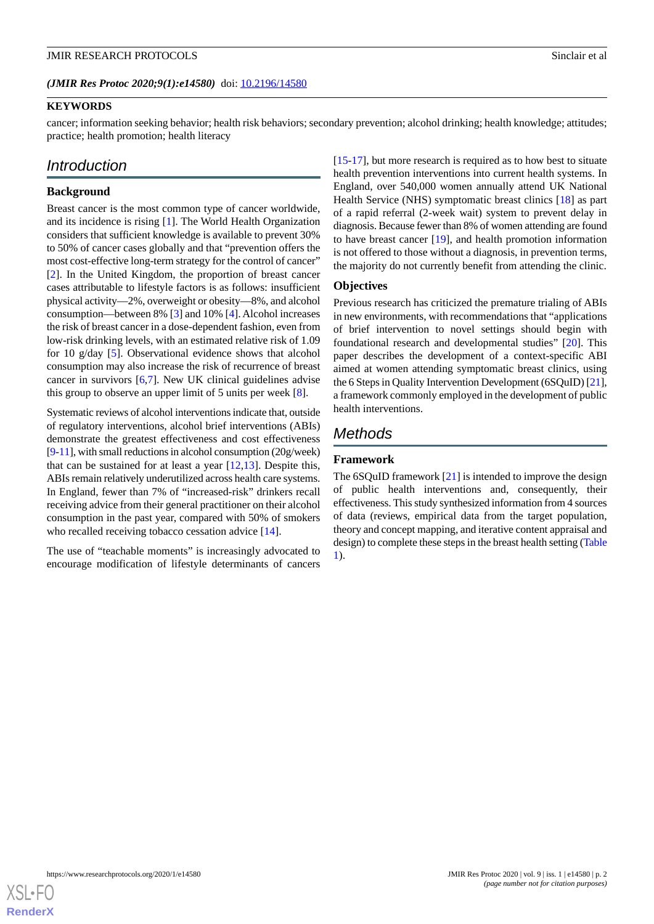## **KEYWORDS**

cancer; information seeking behavior; health risk behaviors; secondary prevention; alcohol drinking; health knowledge; attitudes; practice; health promotion; health literacy

## *Introduction*

## **Background**

Breast cancer is the most common type of cancer worldwide, and its incidence is rising [\[1](#page-8-0)]. The World Health Organization considers that sufficient knowledge is available to prevent 30% to 50% of cancer cases globally and that "prevention offers the most cost-effective long-term strategy for the control of cancer" [[2\]](#page-8-1). In the United Kingdom, the proportion of breast cancer cases attributable to lifestyle factors is as follows: insufficient physical activity—2%, overweight or obesity—8%, and alcohol consumption—between 8% [\[3](#page-8-2)] and 10% [\[4\]](#page-8-3). Alcohol increases the risk of breast cancer in a dose-dependent fashion, even from low-risk drinking levels, with an estimated relative risk of 1.09 for 10 g/day [\[5](#page-9-0)]. Observational evidence shows that alcohol consumption may also increase the risk of recurrence of breast cancer in survivors  $[6,7]$  $[6,7]$  $[6,7]$  $[6,7]$ . New UK clinical guidelines advise this group to observe an upper limit of 5 units per week [\[8](#page-9-3)].

Systematic reviews of alcohol interventions indicate that, outside of regulatory interventions, alcohol brief interventions (ABIs) demonstrate the greatest effectiveness and cost effectiveness [[9-](#page-9-4)[11\]](#page-9-5), with small reductions in alcohol consumption (20g/week) that can be sustained for at least a year [\[12](#page-9-6),[13\]](#page-9-7). Despite this, ABIs remain relatively underutilized across health care systems. In England, fewer than 7% of "increased-risk" drinkers recall receiving advice from their general practitioner on their alcohol consumption in the past year, compared with 50% of smokers who recalled receiving tobacco cessation advice [\[14](#page-9-8)].

The use of "teachable moments" is increasingly advocated to encourage modification of lifestyle determinants of cancers

[[15](#page-9-9)[-17](#page-9-10)], but more research is required as to how best to situate health prevention interventions into current health systems. In England, over 540,000 women annually attend UK National Health Service (NHS) symptomatic breast clinics [[18\]](#page-9-11) as part of a rapid referral (2-week wait) system to prevent delay in diagnosis. Because fewer than 8% of women attending are found to have breast cancer [\[19](#page-9-12)], and health promotion information is not offered to those without a diagnosis, in prevention terms, the majority do not currently benefit from attending the clinic.

#### **Objectives**

Previous research has criticized the premature trialing of ABIs in new environments, with recommendations that "applications of brief intervention to novel settings should begin with foundational research and developmental studies" [\[20](#page-9-13)]. This paper describes the development of a context-specific ABI aimed at women attending symptomatic breast clinics, using the 6 Steps in Quality Intervention Development (6SQuID) [\[21](#page-9-14)], a framework commonly employed in the development of public health interventions.

## *Methods*

## **Framework**

The  $6SQuID$  framework  $[21]$  $[21]$  is intended to improve the design of public health interventions and, consequently, their effectiveness. This study synthesized information from 4 sources of data (reviews, empirical data from the target population, theory and concept mapping, and iterative content appraisal and design) to complete these steps in the breast health setting [\(Table](#page-2-0) [1\)](#page-2-0).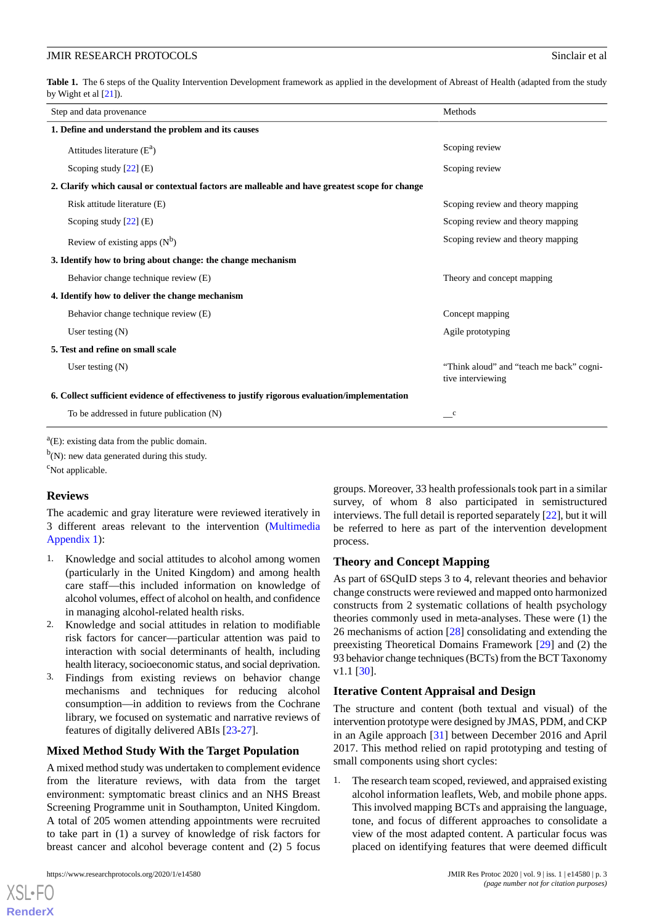<span id="page-2-0"></span>Table 1. The 6 steps of the Quality Intervention Development framework as applied in the development of Abreast of Health (adapted from the study by Wight et al [\[21\]](#page-9-14)).

| Step and data provenance                                                                       | Methods                                                       |  |
|------------------------------------------------------------------------------------------------|---------------------------------------------------------------|--|
| 1. Define and understand the problem and its causes                                            |                                                               |  |
| Attitudes literature $(E^a)$                                                                   | Scoping review                                                |  |
| Scoping study $[22]$ (E)                                                                       | Scoping review                                                |  |
| 2. Clarify which causal or contextual factors are malleable and have greatest scope for change |                                                               |  |
| Risk attitude literature (E)                                                                   | Scoping review and theory mapping                             |  |
| Scoping study $[22]$ (E)                                                                       | Scoping review and theory mapping                             |  |
| Review of existing apps $(N^b)$                                                                | Scoping review and theory mapping                             |  |
| 3. Identify how to bring about change: the change mechanism                                    |                                                               |  |
| Behavior change technique review (E)                                                           | Theory and concept mapping                                    |  |
| 4. Identify how to deliver the change mechanism                                                |                                                               |  |
| Behavior change technique review (E)                                                           | Concept mapping                                               |  |
| User testing $(N)$                                                                             | Agile prototyping                                             |  |
| 5. Test and refine on small scale                                                              |                                                               |  |
| User testing $(N)$                                                                             | "Think aloud" and "teach me back" cogni-<br>tive interviewing |  |
| 6. Collect sufficient evidence of effectiveness to justify rigorous evaluation/implementation  |                                                               |  |
| To be addressed in future publication (N)                                                      | $\mathbf{C}$                                                  |  |

 $a(E)$ : existing data from the public domain.

 $b(N)$ : new data generated during this study.

<sup>c</sup>Not applicable.

## **Reviews**

The academic and gray literature were reviewed iteratively in 3 different areas relevant to the intervention ([Multimedia](#page-8-4) [Appendix 1\)](#page-8-4):

- 1. Knowledge and social attitudes to alcohol among women (particularly in the United Kingdom) and among health care staff—this included information on knowledge of alcohol volumes, effect of alcohol on health, and confidence in managing alcohol-related health risks.
- 2. Knowledge and social attitudes in relation to modifiable risk factors for cancer—particular attention was paid to interaction with social determinants of health, including health literacy, socioeconomic status, and social deprivation.
- 3. Findings from existing reviews on behavior change mechanisms and techniques for reducing alcohol consumption—in addition to reviews from the Cochrane library, we focused on systematic and narrative reviews of features of digitally delivered ABIs [\[23](#page-9-16)[-27](#page-10-0)].

## **Mixed Method Study With the Target Population**

A mixed method study was undertaken to complement evidence from the literature reviews, with data from the target environment: symptomatic breast clinics and an NHS Breast Screening Programme unit in Southampton, United Kingdom. A total of 205 women attending appointments were recruited to take part in (1) a survey of knowledge of risk factors for breast cancer and alcohol beverage content and (2) 5 focus

[XSL](http://www.w3.org/Style/XSL)•FO **[RenderX](http://www.renderx.com/)**

groups. Moreover, 33 health professionals took part in a similar survey, of whom 8 also participated in semistructured interviews. The full detail is reported separately [\[22](#page-9-15)], but it will be referred to here as part of the intervention development process.

## **Theory and Concept Mapping**

As part of 6SQuID steps 3 to 4, relevant theories and behavior change constructs were reviewed and mapped onto harmonized constructs from 2 systematic collations of health psychology theories commonly used in meta-analyses. These were (1) the 26 mechanisms of action [\[28](#page-10-1)] consolidating and extending the preexisting Theoretical Domains Framework [\[29](#page-10-2)] and (2) the 93 behavior change techniques (BCTs) from the BCT Taxonomy v1.1 [[30\]](#page-10-3).

## **Iterative Content Appraisal and Design**

The structure and content (both textual and visual) of the intervention prototype were designed by JMAS, PDM, and CKP in an Agile approach [[31\]](#page-10-4) between December 2016 and April 2017. This method relied on rapid prototyping and testing of small components using short cycles:

1. The research team scoped, reviewed, and appraised existing alcohol information leaflets, Web, and mobile phone apps. This involved mapping BCTs and appraising the language, tone, and focus of different approaches to consolidate a view of the most adapted content. A particular focus was placed on identifying features that were deemed difficult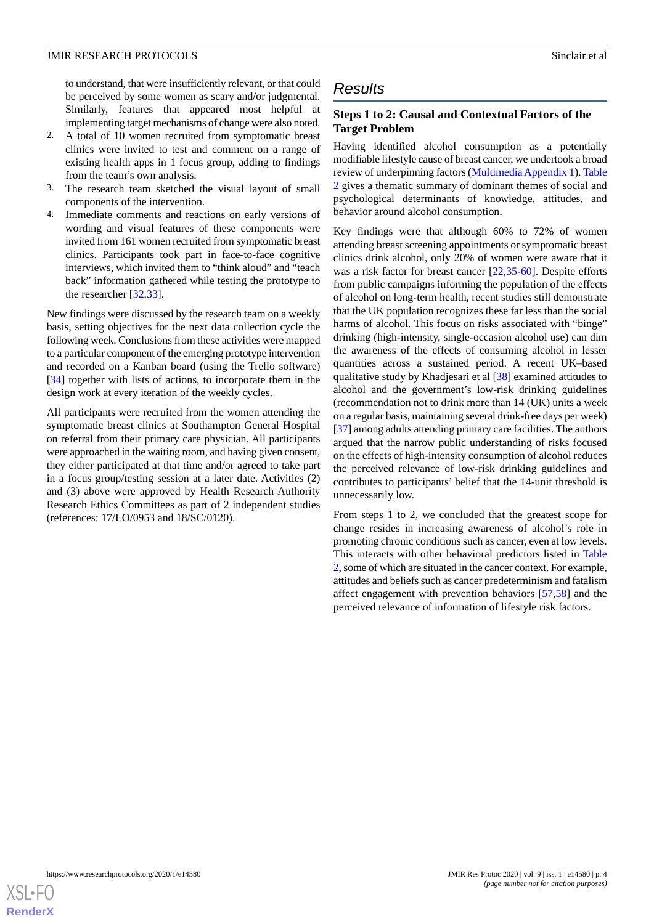to understand, that were insufficiently relevant, or that could be perceived by some women as scary and/or judgmental. Similarly, features that appeared most helpful at implementing target mechanisms of change were also noted.

- 2. A total of 10 women recruited from symptomatic breast clinics were invited to test and comment on a range of existing health apps in 1 focus group, adding to findings from the team's own analysis.
- 3. The research team sketched the visual layout of small components of the intervention.
- 4. Immediate comments and reactions on early versions of wording and visual features of these components were invited from 161 women recruited from symptomatic breast clinics. Participants took part in face-to-face cognitive interviews, which invited them to "think aloud" and "teach back" information gathered while testing the prototype to the researcher [\[32](#page-10-5),[33\]](#page-10-6).

New findings were discussed by the research team on a weekly basis, setting objectives for the next data collection cycle the following week. Conclusions from these activities were mapped to a particular component of the emerging prototype intervention and recorded on a Kanban board (using the Trello software) [[34\]](#page-10-7) together with lists of actions, to incorporate them in the design work at every iteration of the weekly cycles.

All participants were recruited from the women attending the symptomatic breast clinics at Southampton General Hospital on referral from their primary care physician. All participants were approached in the waiting room, and having given consent, they either participated at that time and/or agreed to take part in a focus group/testing session at a later date. Activities (2) and (3) above were approved by Health Research Authority Research Ethics Committees as part of 2 independent studies (references: 17/LO/0953 and 18/SC/0120).

## *Results*

## **Steps 1 to 2: Causal and Contextual Factors of the Target Problem**

Having identified alcohol consumption as a potentially modifiable lifestyle cause of breast cancer, we undertook a broad review of underpinning factors [\(Multimedia Appendix 1](#page-8-4)). [Table](#page-4-0) [2](#page-4-0) gives a thematic summary of dominant themes of social and psychological determinants of knowledge, attitudes, and behavior around alcohol consumption.

Key findings were that although 60% to 72% of women attending breast screening appointments or symptomatic breast clinics drink alcohol, only 20% of women were aware that it was a risk factor for breast cancer [\[22](#page-9-15),[35](#page-10-8)[-60](#page-11-0)]. Despite efforts from public campaigns informing the population of the effects of alcohol on long-term health, recent studies still demonstrate that the UK population recognizes these far less than the social harms of alcohol. This focus on risks associated with "binge" drinking (high-intensity, single-occasion alcohol use) can dim the awareness of the effects of consuming alcohol in lesser quantities across a sustained period. A recent UK–based qualitative study by Khadjesari et al [\[38](#page-10-9)] examined attitudes to alcohol and the government's low-risk drinking guidelines (recommendation not to drink more than 14 (UK) units a week on a regular basis, maintaining several drink-free days per week) [[37\]](#page-10-10) among adults attending primary care facilities. The authors argued that the narrow public understanding of risks focused on the effects of high-intensity consumption of alcohol reduces the perceived relevance of low-risk drinking guidelines and contributes to participants' belief that the 14-unit threshold is unnecessarily low.

From steps 1 to 2, we concluded that the greatest scope for change resides in increasing awareness of alcohol's role in promoting chronic conditions such as cancer, even at low levels. This interacts with other behavioral predictors listed in [Table](#page-4-0) [2,](#page-4-0) some of which are situated in the cancer context. For example, attitudes and beliefs such as cancer predeterminism and fatalism affect engagement with prevention behaviors [[57,](#page-11-1)[58\]](#page-11-2) and the perceived relevance of information of lifestyle risk factors.

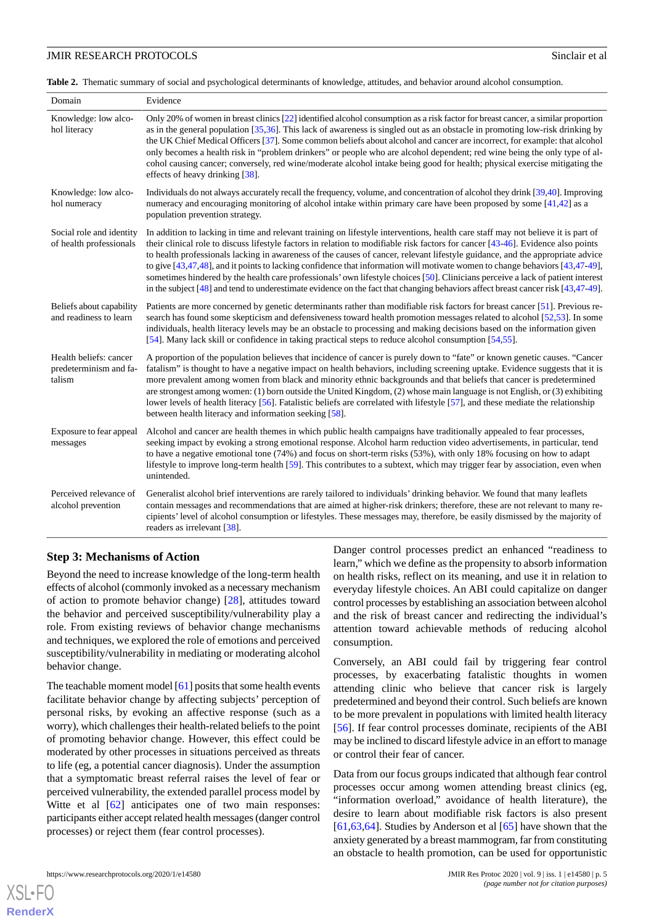<span id="page-4-0"></span>**Table 2.** Thematic summary of social and psychological determinants of knowledge, attitudes, and behavior around alcohol consumption.

| Domain                                                     | Evidence                                                                                                                                                                                                                                                                                                                                                                                                                                                                                                                                                                                                                                                                                                                                                                                                                |
|------------------------------------------------------------|-------------------------------------------------------------------------------------------------------------------------------------------------------------------------------------------------------------------------------------------------------------------------------------------------------------------------------------------------------------------------------------------------------------------------------------------------------------------------------------------------------------------------------------------------------------------------------------------------------------------------------------------------------------------------------------------------------------------------------------------------------------------------------------------------------------------------|
| Knowledge: low alco-<br>hol literacy                       | Only 20% of women in breast clinics [22] identified alcohol consumption as a risk factor for breast cancer, a similar proportion<br>as in the general population $[35,36]$ . This lack of awareness is singled out as an obstacle in promoting low-risk drinking by<br>the UK Chief Medical Officers [37]. Some common beliefs about alcohol and cancer are incorrect, for example: that alcohol<br>only becomes a health risk in "problem drinkers" or people who are alcohol dependent; red wine being the only type of al-<br>cohol causing cancer; conversely, red wine/moderate alcohol intake being good for health; physical exercise mitigating the<br>effects of heavy drinking [38].                                                                                                                          |
| Knowledge: low alco-<br>hol numeracy                       | Individuals do not always accurately recall the frequency, volume, and concentration of alcohol they drink [39,40]. Improving<br>numeracy and encouraging monitoring of alcohol intake within primary care have been proposed by some $[41,42]$ as a<br>population prevention strategy.                                                                                                                                                                                                                                                                                                                                                                                                                                                                                                                                 |
| Social role and identity<br>of health professionals        | In addition to lacking in time and relevant training on lifestyle interventions, health care staff may not believe it is part of<br>their clinical role to discuss lifestyle factors in relation to modifiable risk factors for cancer [43-46]. Evidence also points<br>to health professionals lacking in awareness of the causes of cancer, relevant lifestyle guidance, and the appropriate advice<br>to give $[43,47,48]$ , and it points to lacking confidence that information will motivate women to change behaviors $[43,47-49]$ ,<br>sometimes hindered by the health care professionals' own lifestyle choices [50]. Clinicians perceive a lack of patient interest<br>in the subject $[48]$ and tend to underestimate evidence on the fact that changing behaviors affect breast cancer risk $[43,47-49]$ . |
| Beliefs about capability<br>and readiness to learn         | Patients are more concerned by genetic determinants rather than modifiable risk factors for breast cancer [51]. Previous re-<br>search has found some skepticism and defensiveness toward health promotion messages related to alcohol [52,53]. In some<br>individuals, health literacy levels may be an obstacle to processing and making decisions based on the information given<br>[54]. Many lack skill or confidence in taking practical steps to reduce alcohol consumption [54,55].                                                                                                                                                                                                                                                                                                                             |
| Health beliefs: cancer<br>predeterminism and fa-<br>talism | A proportion of the population believes that incidence of cancer is purely down to "fate" or known genetic causes. "Cancer<br>fatalism" is thought to have a negative impact on health behaviors, including screening uptake. Evidence suggests that it is<br>more prevalent among women from black and minority ethnic backgrounds and that beliefs that cancer is predetermined<br>are strongest among women: (1) born outside the United Kingdom, (2) whose main language is not English, or (3) exhibiting<br>lower levels of health literacy [56]. Fatalistic beliefs are correlated with lifestyle [57], and these mediate the relationship<br>between health literacy and information seeking [58].                                                                                                              |
| Exposure to fear appeal<br>messages                        | Alcohol and cancer are health themes in which public health campaigns have traditionally appealed to fear processes,<br>seeking impact by evoking a strong emotional response. Alcohol harm reduction video advertisements, in particular, tend<br>to have a negative emotional tone (74%) and focus on short-term risks (53%), with only 18% focusing on how to adapt<br>lifestyle to improve long-term health [59]. This contributes to a subtext, which may trigger fear by association, even when<br>unintended.                                                                                                                                                                                                                                                                                                    |
| Perceived relevance of<br>alcohol prevention               | Generalist alcohol brief interventions are rarely tailored to individuals' drinking behavior. We found that many leaflets<br>contain messages and recommendations that are aimed at higher-risk drinkers; therefore, these are not relevant to many re-<br>cipients' level of alcohol consumption or lifestyles. These messages may, therefore, be easily dismissed by the majority of<br>readers as irrelevant [38].                                                                                                                                                                                                                                                                                                                                                                                                   |

## **Step 3: Mechanisms of Action**

Beyond the need to increase knowledge of the long-term health effects of alcohol (commonly invoked as a necessary mechanism of action to promote behavior change) [\[28](#page-10-1)], attitudes toward the behavior and perceived susceptibility/vulnerability play a role. From existing reviews of behavior change mechanisms and techniques, we explored the role of emotions and perceived susceptibility/vulnerability in mediating or moderating alcohol behavior change.

The teachable moment model  $[61]$  $[61]$  posits that some health events facilitate behavior change by affecting subjects' perception of personal risks, by evoking an affective response (such as a worry), which challenges their health-related beliefs to the point of promoting behavior change. However, this effect could be moderated by other processes in situations perceived as threats to life (eg, a potential cancer diagnosis). Under the assumption that a symptomatic breast referral raises the level of fear or perceived vulnerability, the extended parallel process model by Witte et al  $[62]$  $[62]$  anticipates one of two main responses: participants either accept related health messages (danger control processes) or reject them (fear control processes).

Danger control processes predict an enhanced "readiness to learn," which we define as the propensity to absorb information on health risks, reflect on its meaning, and use it in relation to everyday lifestyle choices. An ABI could capitalize on danger control processes by establishing an association between alcohol and the risk of breast cancer and redirecting the individual's attention toward achievable methods of reducing alcohol consumption.

Conversely, an ABI could fail by triggering fear control processes, by exacerbating fatalistic thoughts in women attending clinic who believe that cancer risk is largely predetermined and beyond their control. Such beliefs are known to be more prevalent in populations with limited health literacy [[56\]](#page-11-11). If fear control processes dominate, recipients of the ABI may be inclined to discard lifestyle advice in an effort to manage or control their fear of cancer.

Data from our focus groups indicated that although fear control processes occur among women attending breast clinics (eg, "information overload," avoidance of health literature), the desire to learn about modifiable risk factors is also present [[61,](#page-11-13)[63,](#page-11-15)[64\]](#page-11-16). Studies by Anderson et al  $[65]$  $[65]$  have shown that the anxiety generated by a breast mammogram, far from constituting an obstacle to health promotion, can be used for opportunistic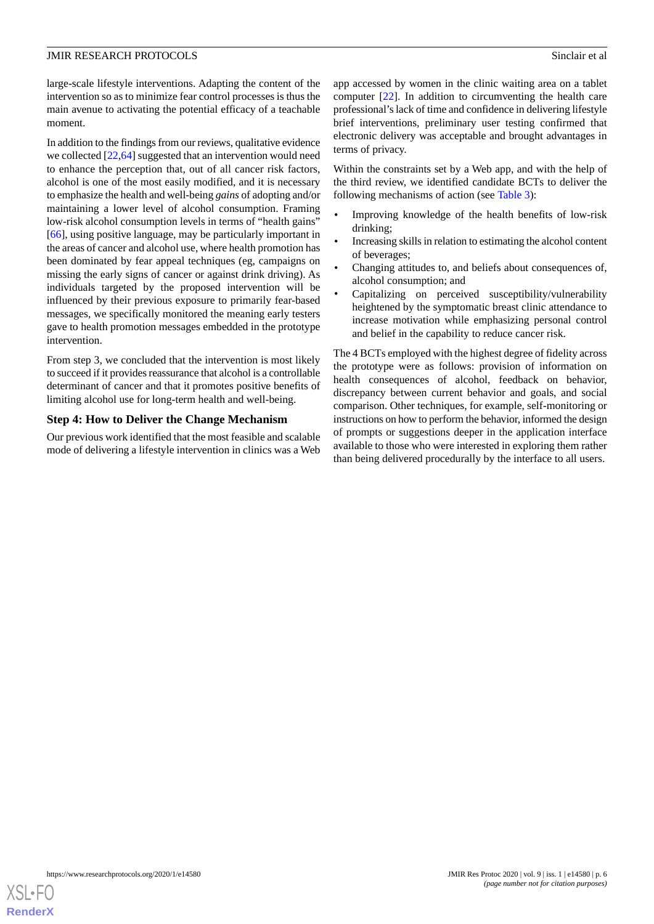large-scale lifestyle interventions. Adapting the content of the intervention so as to minimize fear control processes is thus the main avenue to activating the potential efficacy of a teachable moment.

In addition to the findings from our reviews, qualitative evidence we collected [[22,](#page-9-15)[64](#page-11-16)] suggested that an intervention would need to enhance the perception that, out of all cancer risk factors, alcohol is one of the most easily modified, and it is necessary to emphasize the health and well-being *gains* of adopting and/or maintaining a lower level of alcohol consumption. Framing low-risk alcohol consumption levels in terms of "health gains" [[66\]](#page-11-18), using positive language, may be particularly important in the areas of cancer and alcohol use, where health promotion has been dominated by fear appeal techniques (eg, campaigns on missing the early signs of cancer or against drink driving). As individuals targeted by the proposed intervention will be influenced by their previous exposure to primarily fear-based messages, we specifically monitored the meaning early testers gave to health promotion messages embedded in the prototype intervention.

From step 3, we concluded that the intervention is most likely to succeed if it provides reassurance that alcohol is a controllable determinant of cancer and that it promotes positive benefits of limiting alcohol use for long-term health and well-being.

## **Step 4: How to Deliver the Change Mechanism**

Our previous work identified that the most feasible and scalable mode of delivering a lifestyle intervention in clinics was a Web

app accessed by women in the clinic waiting area on a tablet computer [[22\]](#page-9-15). In addition to circumventing the health care professional's lack of time and confidence in delivering lifestyle brief interventions, preliminary user testing confirmed that electronic delivery was acceptable and brought advantages in terms of privacy.

Within the constraints set by a Web app, and with the help of the third review, we identified candidate BCTs to deliver the following mechanisms of action (see [Table 3\)](#page-6-0):

- Improving knowledge of the health benefits of low-risk drinking;
- Increasing skills in relation to estimating the alcohol content of beverages;
- Changing attitudes to, and beliefs about consequences of, alcohol consumption; and
- Capitalizing on perceived susceptibility/vulnerability heightened by the symptomatic breast clinic attendance to increase motivation while emphasizing personal control and belief in the capability to reduce cancer risk.

The 4 BCTs employed with the highest degree of fidelity across the prototype were as follows: provision of information on health consequences of alcohol, feedback on behavior, discrepancy between current behavior and goals, and social comparison. Other techniques, for example, self-monitoring or instructions on how to perform the behavior, informed the design of prompts or suggestions deeper in the application interface available to those who were interested in exploring them rather than being delivered procedurally by the interface to all users.

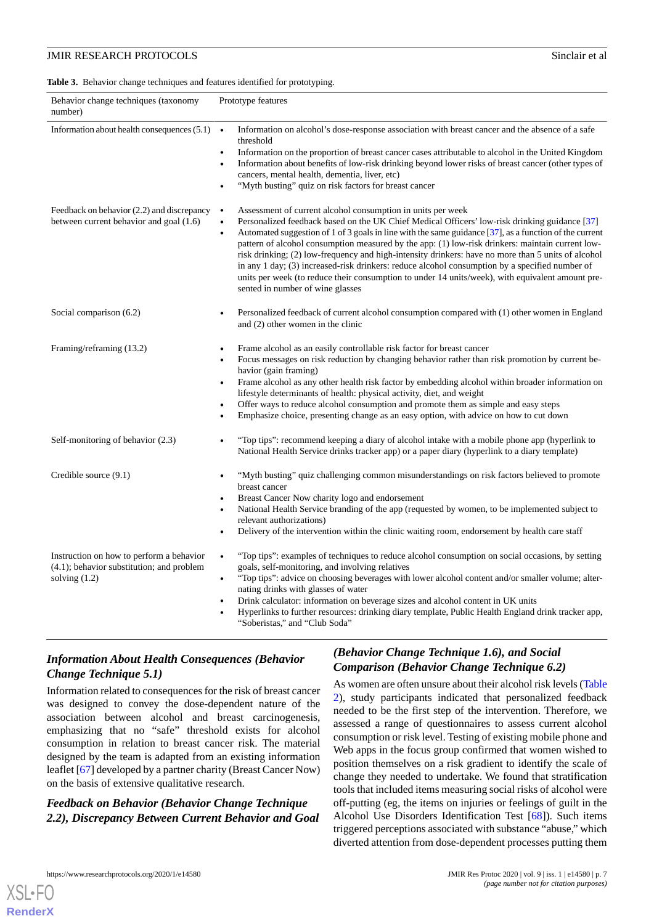#### <span id="page-6-0"></span>**Table 3.** Behavior change techniques and features identified for prototyping.

| Behavior change techniques (taxonomy<br>number)                                                          | Prototype features                                                                                                                                                                                                                                                                                                                                                                                                                                                                                                                                                                                                                                                                                                                                                |
|----------------------------------------------------------------------------------------------------------|-------------------------------------------------------------------------------------------------------------------------------------------------------------------------------------------------------------------------------------------------------------------------------------------------------------------------------------------------------------------------------------------------------------------------------------------------------------------------------------------------------------------------------------------------------------------------------------------------------------------------------------------------------------------------------------------------------------------------------------------------------------------|
| Information about health consequences (5.1)                                                              | Information on alcohol's dose-response association with breast cancer and the absence of a safe<br>$\bullet$<br>threshold<br>Information on the proportion of breast cancer cases attributable to alcohol in the United Kingdom<br>$\bullet$<br>Information about benefits of low-risk drinking beyond lower risks of breast cancer (other types of<br>$\bullet$<br>cancers, mental health, dementia, liver, etc)<br>"Myth busting" quiz on risk factors for breast cancer<br>$\bullet$                                                                                                                                                                                                                                                                           |
| Feedback on behavior (2.2) and discrepancy<br>between current behavior and goal (1.6)                    | Assessment of current alcohol consumption in units per week<br>$\bullet$<br>Personalized feedback based on the UK Chief Medical Officers' low-risk drinking guidance [37]<br>$\bullet$<br>Automated suggestion of 1 of 3 goals in line with the same guidance [37], as a function of the current<br>$\bullet$<br>pattern of alcohol consumption measured by the app: (1) low-risk drinkers: maintain current low-<br>risk drinking; (2) low-frequency and high-intensity drinkers: have no more than 5 units of alcohol<br>in any 1 day; (3) increased-risk drinkers: reduce alcohol consumption by a specified number of<br>units per week (to reduce their consumption to under 14 units/week), with equivalent amount pre-<br>sented in number of wine glasses |
| Social comparison (6.2)                                                                                  | Personalized feedback of current alcohol consumption compared with (1) other women in England<br>and (2) other women in the clinic                                                                                                                                                                                                                                                                                                                                                                                                                                                                                                                                                                                                                                |
| Framing/reframing (13.2)                                                                                 | Frame alcohol as an easily controllable risk factor for breast cancer<br>Focus messages on risk reduction by changing behavior rather than risk promotion by current be-<br>$\bullet$<br>havior (gain framing)<br>Frame alcohol as any other health risk factor by embedding alcohol within broader information on<br>$\bullet$<br>lifestyle determinants of health: physical activity, diet, and weight<br>Offer ways to reduce alcohol consumption and promote them as simple and easy steps<br>$\bullet$<br>Emphasize choice, presenting change as an easy option, with advice on how to cut down<br>$\bullet$                                                                                                                                                 |
| Self-monitoring of behavior (2.3)                                                                        | "Top tips": recommend keeping a diary of alcohol intake with a mobile phone app (hyperlink to<br>National Health Service drinks tracker app) or a paper diary (hyperlink to a diary template)                                                                                                                                                                                                                                                                                                                                                                                                                                                                                                                                                                     |
| Credible source $(9.1)$                                                                                  | "Myth busting" quiz challenging common misunderstandings on risk factors believed to promote<br>$\bullet$<br>breast cancer<br>Breast Cancer Now charity logo and endorsement<br>$\bullet$<br>National Health Service branding of the app (requested by women, to be implemented subject to<br>$\bullet$<br>relevant authorizations)<br>Delivery of the intervention within the clinic waiting room, endorsement by health care staff                                                                                                                                                                                                                                                                                                                              |
| Instruction on how to perform a behavior<br>(4.1); behavior substitution; and problem<br>solving $(1.2)$ | "Top tips": examples of techniques to reduce alcohol consumption on social occasions, by setting<br>$\bullet$<br>goals, self-monitoring, and involving relatives<br>"Top tips": advice on choosing beverages with lower alcohol content and/or smaller volume; alter-<br>$\bullet$<br>nating drinks with glasses of water<br>Drink calculator: information on beverage sizes and alcohol content in UK units<br>$\bullet$<br>Hyperlinks to further resources: drinking diary template, Public Health England drink tracker app,<br>"Soberistas," and "Club Soda"                                                                                                                                                                                                  |

## *Information About Health Consequences (Behavior Change Technique 5.1)*

Information related to consequences for the risk of breast cancer was designed to convey the dose-dependent nature of the association between alcohol and breast carcinogenesis, emphasizing that no "safe" threshold exists for alcohol consumption in relation to breast cancer risk. The material designed by the team is adapted from an existing information leaflet [[67\]](#page-11-19) developed by a partner charity (Breast Cancer Now) on the basis of extensive qualitative research.

## *Feedback on Behavior (Behavior Change Technique 2.2), Discrepancy Between Current Behavior and Goal*

## *(Behavior Change Technique 1.6), and Social Comparison (Behavior Change Technique 6.2)*

As women are often unsure about their alcohol risk levels [\(Table](#page-4-0) [2\)](#page-4-0), study participants indicated that personalized feedback needed to be the first step of the intervention. Therefore, we assessed a range of questionnaires to assess current alcohol consumption or risk level. Testing of existing mobile phone and Web apps in the focus group confirmed that women wished to position themselves on a risk gradient to identify the scale of change they needed to undertake. We found that stratification tools that included items measuring social risks of alcohol were off-putting (eg, the items on injuries or feelings of guilt in the Alcohol Use Disorders Identification Test [[68\]](#page-11-20)). Such items triggered perceptions associated with substance "abuse," which diverted attention from dose-dependent processes putting them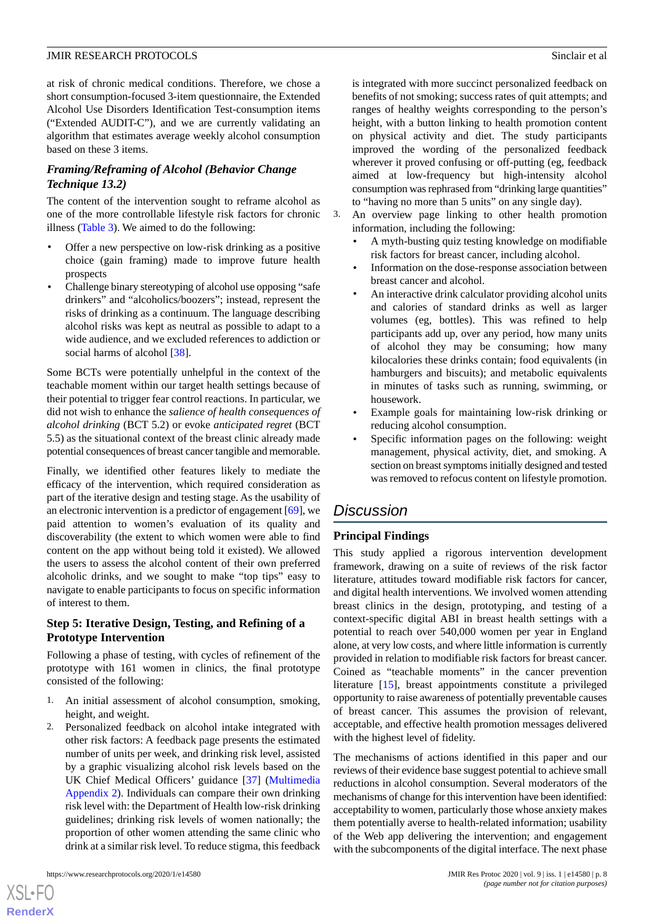at risk of chronic medical conditions. Therefore, we chose a short consumption-focused 3-item questionnaire, the Extended Alcohol Use Disorders Identification Test-consumption items ("Extended AUDIT-C"), and we are currently validating an algorithm that estimates average weekly alcohol consumption based on these 3 items.

## *Framing/Reframing of Alcohol (Behavior Change Technique 13.2)*

The content of the intervention sought to reframe alcohol as one of the more controllable lifestyle risk factors for chronic illness ([Table 3](#page-6-0)). We aimed to do the following:

- Offer a new perspective on low-risk drinking as a positive choice (gain framing) made to improve future health prospects
- Challenge binary stereotyping of alcohol use opposing "safe drinkers" and "alcoholics/boozers"; instead, represent the risks of drinking as a continuum. The language describing alcohol risks was kept as neutral as possible to adapt to a wide audience, and we excluded references to addiction or social harms of alcohol [\[38](#page-10-9)].

Some BCTs were potentially unhelpful in the context of the teachable moment within our target health settings because of their potential to trigger fear control reactions. In particular, we did not wish to enhance the *salience of health consequences of alcohol drinking* (BCT 5.2) or evoke *anticipated regret* (BCT 5.5) as the situational context of the breast clinic already made potential consequences of breast cancer tangible and memorable.

Finally, we identified other features likely to mediate the efficacy of the intervention, which required consideration as part of the iterative design and testing stage. As the usability of an electronic intervention is a predictor of engagement [\[69](#page-11-21)], we paid attention to women's evaluation of its quality and discoverability (the extent to which women were able to find content on the app without being told it existed). We allowed the users to assess the alcohol content of their own preferred alcoholic drinks, and we sought to make "top tips" easy to navigate to enable participants to focus on specific information of interest to them.

## **Step 5: Iterative Design, Testing, and Refining of a Prototype Intervention**

Following a phase of testing, with cycles of refinement of the prototype with 161 women in clinics, the final prototype consisted of the following:

- 1. An initial assessment of alcohol consumption, smoking, height, and weight.
- 2. Personalized feedback on alcohol intake integrated with other risk factors: A feedback page presents the estimated number of units per week, and drinking risk level, assisted by a graphic visualizing alcohol risk levels based on the UK Chief Medical Officers' guidance [\[37](#page-10-10)] ([Multimedia](#page-8-5) [Appendix 2\)](#page-8-5). Individuals can compare their own drinking risk level with: the Department of Health low-risk drinking guidelines; drinking risk levels of women nationally; the proportion of other women attending the same clinic who drink at a similar risk level. To reduce stigma, this feedback

[XSL](http://www.w3.org/Style/XSL)•FO **[RenderX](http://www.renderx.com/)** is integrated with more succinct personalized feedback on benefits of not smoking; success rates of quit attempts; and ranges of healthy weights corresponding to the person's height, with a button linking to health promotion content on physical activity and diet. The study participants improved the wording of the personalized feedback wherever it proved confusing or off-putting (eg, feedback aimed at low-frequency but high-intensity alcohol consumption was rephrased from "drinking large quantities" to "having no more than 5 units" on any single day).

- 3. An overview page linking to other health promotion information, including the following:
	- A myth-busting quiz testing knowledge on modifiable risk factors for breast cancer, including alcohol.
	- Information on the dose-response association between breast cancer and alcohol.
	- An interactive drink calculator providing alcohol units and calories of standard drinks as well as larger volumes (eg, bottles). This was refined to help participants add up, over any period, how many units of alcohol they may be consuming; how many kilocalories these drinks contain; food equivalents (in hamburgers and biscuits); and metabolic equivalents in minutes of tasks such as running, swimming, or housework.
	- Example goals for maintaining low-risk drinking or reducing alcohol consumption.
	- Specific information pages on the following: weight management, physical activity, diet, and smoking. A section on breast symptoms initially designed and tested was removed to refocus content on lifestyle promotion.

## *Discussion*

## **Principal Findings**

This study applied a rigorous intervention development framework, drawing on a suite of reviews of the risk factor literature, attitudes toward modifiable risk factors for cancer, and digital health interventions. We involved women attending breast clinics in the design, prototyping, and testing of a context-specific digital ABI in breast health settings with a potential to reach over 540,000 women per year in England alone, at very low costs, and where little information is currently provided in relation to modifiable risk factors for breast cancer. Coined as "teachable moments" in the cancer prevention literature [\[15](#page-9-9)], breast appointments constitute a privileged opportunity to raise awareness of potentially preventable causes of breast cancer. This assumes the provision of relevant, acceptable, and effective health promotion messages delivered with the highest level of fidelity.

The mechanisms of actions identified in this paper and our reviews of their evidence base suggest potential to achieve small reductions in alcohol consumption. Several moderators of the mechanisms of change for this intervention have been identified: acceptability to women, particularly those whose anxiety makes them potentially averse to health-related information; usability of the Web app delivering the intervention; and engagement with the subcomponents of the digital interface. The next phase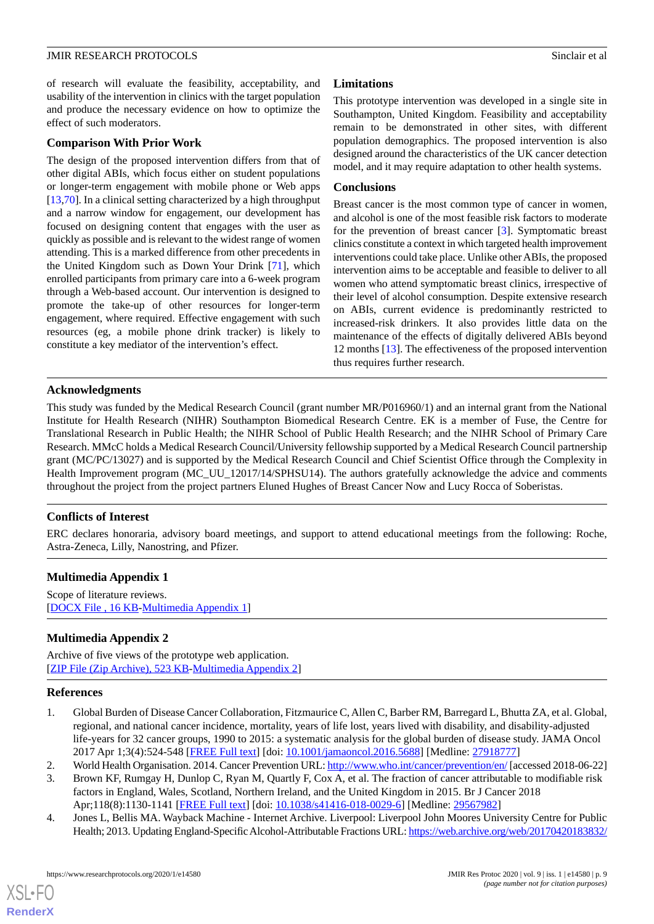of research will evaluate the feasibility, acceptability, and usability of the intervention in clinics with the target population and produce the necessary evidence on how to optimize the effect of such moderators.

#### **Comparison With Prior Work**

The design of the proposed intervention differs from that of other digital ABIs, which focus either on student populations or longer-term engagement with mobile phone or Web apps [[13](#page-9-7)[,70](#page-12-0)]. In a clinical setting characterized by a high throughput and a narrow window for engagement, our development has focused on designing content that engages with the user as quickly as possible and is relevant to the widest range of women attending. This is a marked difference from other precedents in the United Kingdom such as Down Your Drink [\[71](#page-12-1)], which enrolled participants from primary care into a 6-week program through a Web-based account. Our intervention is designed to promote the take-up of other resources for longer-term engagement, where required. Effective engagement with such resources (eg, a mobile phone drink tracker) is likely to constitute a key mediator of the intervention's effect.

## **Limitations**

This prototype intervention was developed in a single site in Southampton, United Kingdom. Feasibility and acceptability remain to be demonstrated in other sites, with different population demographics. The proposed intervention is also designed around the characteristics of the UK cancer detection model, and it may require adaptation to other health systems.

#### **Conclusions**

Breast cancer is the most common type of cancer in women, and alcohol is one of the most feasible risk factors to moderate for the prevention of breast cancer [\[3](#page-8-2)]. Symptomatic breast clinics constitute a context in which targeted health improvement interventions could take place. Unlike other ABIs, the proposed intervention aims to be acceptable and feasible to deliver to all women who attend symptomatic breast clinics, irrespective of their level of alcohol consumption. Despite extensive research on ABIs, current evidence is predominantly restricted to increased-risk drinkers. It also provides little data on the maintenance of the effects of digitally delivered ABIs beyond 12 months [[13\]](#page-9-7). The effectiveness of the proposed intervention thus requires further research.

## **Acknowledgments**

This study was funded by the Medical Research Council (grant number MR/P016960/1) and an internal grant from the National Institute for Health Research (NIHR) Southampton Biomedical Research Centre. EK is a member of Fuse, the Centre for Translational Research in Public Health; the NIHR School of Public Health Research; and the NIHR School of Primary Care Research. MMcC holds a Medical Research Council/University fellowship supported by a Medical Research Council partnership grant (MC/PC/13027) and is supported by the Medical Research Council and Chief Scientist Office through the Complexity in Health Improvement program (MC\_UU\_12017/14/SPHSU14). The authors gratefully acknowledge the advice and comments throughout the project from the project partners Eluned Hughes of Breast Cancer Now and Lucy Rocca of Soberistas.

## <span id="page-8-4"></span>**Conflicts of Interest**

ERC declares honoraria, advisory board meetings, and support to attend educational meetings from the following: Roche, Astra-Zeneca, Lilly, Nanostring, and Pfizer.

## <span id="page-8-5"></span>**Multimedia Appendix 1**

Scope of literature reviews. [[DOCX File , 16 KB](https://jmir.org/api/download?alt_name=resprot_v9i1e14580_app1.docx&filename=8dc3880b428a38111721387c034e9655.docx)-[Multimedia Appendix 1](https://jmir.org/api/download?alt_name=resprot_v9i1e14580_app1.docx&filename=8dc3880b428a38111721387c034e9655.docx)]

## <span id="page-8-0"></span>**Multimedia Appendix 2**

Archive of five views of the prototype web application. [[ZIP File \(Zip Archive\), 523 KB-Multimedia Appendix 2](https://jmir.org/api/download?alt_name=resprot_v9i1e14580_app2.zip&filename=b828e673144933edccc229d89c710a7e.zip)]

## <span id="page-8-2"></span><span id="page-8-1"></span>**References**

- <span id="page-8-3"></span>1. Global Burden of Disease Cancer Collaboration, Fitzmaurice C, Allen C, Barber RM, Barregard L, Bhutta ZA, et al. Global, regional, and national cancer incidence, mortality, years of life lost, years lived with disability, and disability-adjusted life-years for 32 cancer groups, 1990 to 2015: a systematic analysis for the global burden of disease study. JAMA Oncol 2017 Apr 1;3(4):524-548 [[FREE Full text](http://europepmc.org/abstract/MED/27918777)] [doi: [10.1001/jamaoncol.2016.5688](http://dx.doi.org/10.1001/jamaoncol.2016.5688)] [Medline: [27918777](http://www.ncbi.nlm.nih.gov/entrez/query.fcgi?cmd=Retrieve&db=PubMed&list_uids=27918777&dopt=Abstract)]
- 2. World Health Organisation. 2014. Cancer Prevention URL:<http://www.who.int/cancer/prevention/en/> [accessed 2018-06-22]
- 3. Brown KF, Rumgay H, Dunlop C, Ryan M, Quartly F, Cox A, et al. The fraction of cancer attributable to modifiable risk factors in England, Wales, Scotland, Northern Ireland, and the United Kingdom in 2015. Br J Cancer 2018 Apr;118(8):1130-1141 [\[FREE Full text\]](http://dx.doi.org/10.1038/s41416-018-0029-6) [doi: [10.1038/s41416-018-0029-6](http://dx.doi.org/10.1038/s41416-018-0029-6)] [Medline: [29567982](http://www.ncbi.nlm.nih.gov/entrez/query.fcgi?cmd=Retrieve&db=PubMed&list_uids=29567982&dopt=Abstract)]
- 4. Jones L, Bellis MA. Wayback Machine Internet Archive. Liverpool: Liverpool John Moores University Centre for Public Health; 2013. Updating England-Specific Alcohol-Attributable Fractions URL: [https://web.archive.org/web/20170420183832/](https://web.archive.org/web/20170420183832/http://www.cph.org.uk/wp-content/uploads/2014/03/24892-ALCOHOL-FRACTIONS-REPORT-A4-singles-24.3.14.pdf)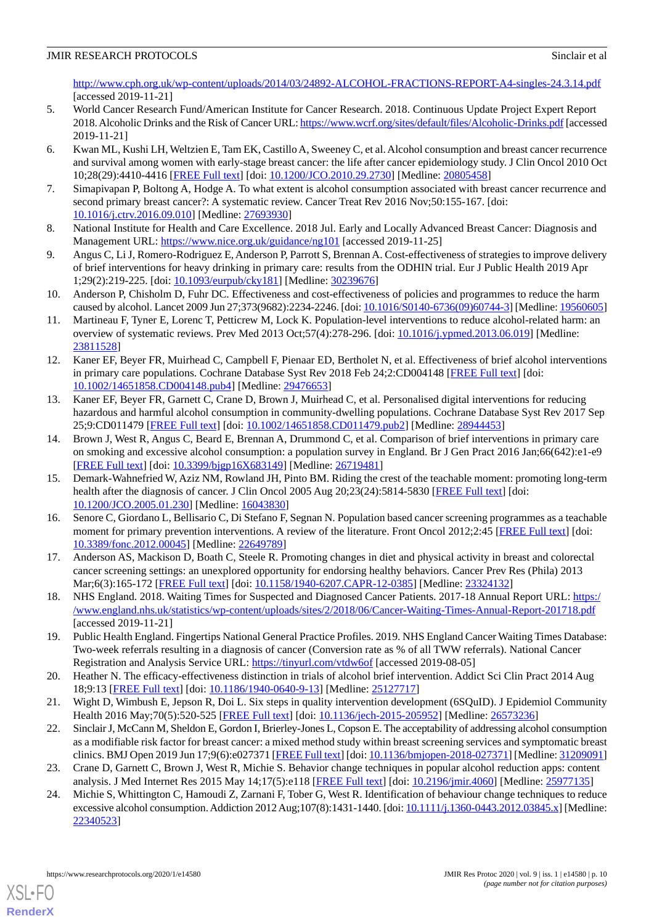[http://www.cph.org.uk/wp-content/uploads/2014/03/24892-ALCOHOL-FRACTIONS-REPORT-A4-singles-24.3.14.pdf](https://web.archive.org/web/20170420183832/http://www.cph.org.uk/wp-content/uploads/2014/03/24892-ALCOHOL-FRACTIONS-REPORT-A4-singles-24.3.14.pdf) [accessed 2019-11-21]

- <span id="page-9-0"></span>5. World Cancer Research Fund/American Institute for Cancer Research. 2018. Continuous Update Project Expert Report 2018. Alcoholic Drinks and the Risk of Cancer URL:<https://www.wcrf.org/sites/default/files/Alcoholic-Drinks.pdf> [accessed 2019-11-21]
- <span id="page-9-1"></span>6. Kwan ML, Kushi LH, Weltzien E, Tam EK, Castillo A, Sweeney C, et al. Alcohol consumption and breast cancer recurrence and survival among women with early-stage breast cancer: the life after cancer epidemiology study. J Clin Oncol 2010 Oct 10;28(29):4410-4416 [[FREE Full text](http://europepmc.org/abstract/MED/20805458)] [doi: [10.1200/JCO.2010.29.2730](http://dx.doi.org/10.1200/JCO.2010.29.2730)] [Medline: [20805458\]](http://www.ncbi.nlm.nih.gov/entrez/query.fcgi?cmd=Retrieve&db=PubMed&list_uids=20805458&dopt=Abstract)
- <span id="page-9-3"></span><span id="page-9-2"></span>7. Simapivapan P, Boltong A, Hodge A. To what extent is alcohol consumption associated with breast cancer recurrence and second primary breast cancer?: A systematic review. Cancer Treat Rev 2016 Nov;50:155-167. [doi: [10.1016/j.ctrv.2016.09.010](http://dx.doi.org/10.1016/j.ctrv.2016.09.010)] [Medline: [27693930](http://www.ncbi.nlm.nih.gov/entrez/query.fcgi?cmd=Retrieve&db=PubMed&list_uids=27693930&dopt=Abstract)]
- <span id="page-9-4"></span>8. National Institute for Health and Care Excellence. 2018 Jul. Early and Locally Advanced Breast Cancer: Diagnosis and Management URL:<https://www.nice.org.uk/guidance/ng101> [accessed 2019-11-25]
- 9. Angus C, Li J, Romero-Rodriguez E, Anderson P, Parrott S, Brennan A. Cost-effectiveness of strategies to improve delivery of brief interventions for heavy drinking in primary care: results from the ODHIN trial. Eur J Public Health 2019 Apr 1;29(2):219-225. [doi: [10.1093/eurpub/cky181\]](http://dx.doi.org/10.1093/eurpub/cky181) [Medline: [30239676](http://www.ncbi.nlm.nih.gov/entrez/query.fcgi?cmd=Retrieve&db=PubMed&list_uids=30239676&dopt=Abstract)]
- <span id="page-9-5"></span>10. Anderson P, Chisholm D, Fuhr DC. Effectiveness and cost-effectiveness of policies and programmes to reduce the harm caused by alcohol. Lancet 2009 Jun 27;373(9682):2234-2246. [doi: [10.1016/S0140-6736\(09\)60744-3\]](http://dx.doi.org/10.1016/S0140-6736(09)60744-3) [Medline: [19560605\]](http://www.ncbi.nlm.nih.gov/entrez/query.fcgi?cmd=Retrieve&db=PubMed&list_uids=19560605&dopt=Abstract)
- <span id="page-9-6"></span>11. Martineau F, Tyner E, Lorenc T, Petticrew M, Lock K. Population-level interventions to reduce alcohol-related harm: an overview of systematic reviews. Prev Med 2013 Oct;57(4):278-296. [doi: [10.1016/j.ypmed.2013.06.019](http://dx.doi.org/10.1016/j.ypmed.2013.06.019)] [Medline: [23811528](http://www.ncbi.nlm.nih.gov/entrez/query.fcgi?cmd=Retrieve&db=PubMed&list_uids=23811528&dopt=Abstract)]
- <span id="page-9-7"></span>12. Kaner EF, Beyer FR, Muirhead C, Campbell F, Pienaar ED, Bertholet N, et al. Effectiveness of brief alcohol interventions in primary care populations. Cochrane Database Syst Rev 2018 Feb 24;2:CD004148 [\[FREE Full text](http://europepmc.org/abstract/MED/29476653)] [doi: [10.1002/14651858.CD004148.pub4\]](http://dx.doi.org/10.1002/14651858.CD004148.pub4) [Medline: [29476653](http://www.ncbi.nlm.nih.gov/entrez/query.fcgi?cmd=Retrieve&db=PubMed&list_uids=29476653&dopt=Abstract)]
- <span id="page-9-8"></span>13. Kaner EF, Beyer FR, Garnett C, Crane D, Brown J, Muirhead C, et al. Personalised digital interventions for reducing hazardous and harmful alcohol consumption in community-dwelling populations. Cochrane Database Syst Rev 2017 Sep 25;9:CD011479 [[FREE Full text](http://europepmc.org/abstract/MED/28944453)] [doi: [10.1002/14651858.CD011479.pub2\]](http://dx.doi.org/10.1002/14651858.CD011479.pub2) [Medline: [28944453](http://www.ncbi.nlm.nih.gov/entrez/query.fcgi?cmd=Retrieve&db=PubMed&list_uids=28944453&dopt=Abstract)]
- <span id="page-9-9"></span>14. Brown J, West R, Angus C, Beard E, Brennan A, Drummond C, et al. Comparison of brief interventions in primary care on smoking and excessive alcohol consumption: a population survey in England. Br J Gen Pract 2016 Jan;66(642):e1-e9 [[FREE Full text](https://bjgp.org/cgi/pmidlookup?view=long&pmid=26719481)] [doi: [10.3399/bjgp16X683149\]](http://dx.doi.org/10.3399/bjgp16X683149) [Medline: [26719481\]](http://www.ncbi.nlm.nih.gov/entrez/query.fcgi?cmd=Retrieve&db=PubMed&list_uids=26719481&dopt=Abstract)
- 15. Demark-Wahnefried W, Aziz NM, Rowland JH, Pinto BM. Riding the crest of the teachable moment: promoting long-term health after the diagnosis of cancer. J Clin Oncol 2005 Aug 20;23(24):5814-5830 [[FREE Full text](http://europepmc.org/abstract/MED/16043830)] [doi: [10.1200/JCO.2005.01.230](http://dx.doi.org/10.1200/JCO.2005.01.230)] [Medline: [16043830\]](http://www.ncbi.nlm.nih.gov/entrez/query.fcgi?cmd=Retrieve&db=PubMed&list_uids=16043830&dopt=Abstract)
- <span id="page-9-10"></span>16. Senore C, Giordano L, Bellisario C, Di Stefano F, Segnan N. Population based cancer screening programmes as a teachable moment for primary prevention interventions. A review of the literature. Front Oncol 2012;2:45 [[FREE Full text](https://doi.org/10.3389/fonc.2012.00045)] [doi: [10.3389/fonc.2012.00045\]](http://dx.doi.org/10.3389/fonc.2012.00045) [Medline: [22649789](http://www.ncbi.nlm.nih.gov/entrez/query.fcgi?cmd=Retrieve&db=PubMed&list_uids=22649789&dopt=Abstract)]
- <span id="page-9-12"></span><span id="page-9-11"></span>17. Anderson AS, Mackison D, Boath C, Steele R. Promoting changes in diet and physical activity in breast and colorectal cancer screening settings: an unexplored opportunity for endorsing healthy behaviors. Cancer Prev Res (Phila) 2013 Mar;6(3):165-172 [[FREE Full text\]](http://cancerpreventionresearch.aacrjournals.org/cgi/pmidlookup?view=long&pmid=23324132) [doi: [10.1158/1940-6207.CAPR-12-0385](http://dx.doi.org/10.1158/1940-6207.CAPR-12-0385)] [Medline: [23324132\]](http://www.ncbi.nlm.nih.gov/entrez/query.fcgi?cmd=Retrieve&db=PubMed&list_uids=23324132&dopt=Abstract)
- <span id="page-9-13"></span>18. NHS England. 2018. Waiting Times for Suspected and Diagnosed Cancer Patients. 2017-18 Annual Report URL: [https:/](https://www.england.nhs.uk/statistics/wp-content/uploads/sites/2/2018/06/Cancer-Waiting-Times-Annual-Report-201718.pdf) [/www.england.nhs.uk/statistics/wp-content/uploads/sites/2/2018/06/Cancer-Waiting-Times-Annual-Report-201718.pdf](https://www.england.nhs.uk/statistics/wp-content/uploads/sites/2/2018/06/Cancer-Waiting-Times-Annual-Report-201718.pdf) [accessed 2019-11-21]
- <span id="page-9-14"></span>19. Public Health England. Fingertips National General Practice Profiles. 2019. NHS England Cancer Waiting Times Database: Two-week referrals resulting in a diagnosis of cancer (Conversion rate as % of all TWW referrals). National Cancer Registration and Analysis Service URL: [https://tinyurl.com/vtdw6of](https://fingertipsws.phe.org.uk/api/all_data/csv/by_indicator_id?parent_area_code=E92000001&parent_area_type_id=152&child_area_type_id=7&profile_id=92&indicator_ids=91845&category_area_code=&sex_id=4&age_id=1) [accessed 2019-08-05]
- <span id="page-9-15"></span>20. Heather N. The efficacy-effectiveness distinction in trials of alcohol brief intervention. Addict Sci Clin Pract 2014 Aug 18;9:13 [[FREE Full text](https://ascpjournal.biomedcentral.com/articles/10.1186/1940-0640-9-13)] [doi: [10.1186/1940-0640-9-13\]](http://dx.doi.org/10.1186/1940-0640-9-13) [Medline: [25127717\]](http://www.ncbi.nlm.nih.gov/entrez/query.fcgi?cmd=Retrieve&db=PubMed&list_uids=25127717&dopt=Abstract)
- <span id="page-9-16"></span>21. Wight D, Wimbush E, Jepson R, Doi L. Six steps in quality intervention development (6SQuID). J Epidemiol Community Health 2016 May;70(5):520-525 [[FREE Full text](http://jech.bmj.com/cgi/pmidlookup?view=long&pmid=26573236)] [doi: [10.1136/jech-2015-205952](http://dx.doi.org/10.1136/jech-2015-205952)] [Medline: [26573236\]](http://www.ncbi.nlm.nih.gov/entrez/query.fcgi?cmd=Retrieve&db=PubMed&list_uids=26573236&dopt=Abstract)
- 22. Sinclair J, McCann M, Sheldon E, Gordon I, Brierley-Jones L, Copson E. The acceptability of addressing alcohol consumption as a modifiable risk factor for breast cancer: a mixed method study within breast screening services and symptomatic breast clinics. BMJ Open 2019 Jun 17;9(6):e027371 [\[FREE Full text](http://bmjopen.bmj.com/cgi/pmidlookup?view=long&pmid=31209091)] [doi: [10.1136/bmjopen-2018-027371](http://dx.doi.org/10.1136/bmjopen-2018-027371)] [Medline: [31209091](http://www.ncbi.nlm.nih.gov/entrez/query.fcgi?cmd=Retrieve&db=PubMed&list_uids=31209091&dopt=Abstract)]
- 23. Crane D, Garnett C, Brown J, West R, Michie S. Behavior change techniques in popular alcohol reduction apps: content analysis. J Med Internet Res 2015 May 14;17(5):e118 [[FREE Full text](https://www.jmir.org/2015/5/e118/)] [doi: [10.2196/jmir.4060](http://dx.doi.org/10.2196/jmir.4060)] [Medline: [25977135](http://www.ncbi.nlm.nih.gov/entrez/query.fcgi?cmd=Retrieve&db=PubMed&list_uids=25977135&dopt=Abstract)]
- 24. Michie S, Whittington C, Hamoudi Z, Zarnani F, Tober G, West R. Identification of behaviour change techniques to reduce excessive alcohol consumption. Addiction 2012 Aug;107(8):1431-1440. [doi: [10.1111/j.1360-0443.2012.03845.x\]](http://dx.doi.org/10.1111/j.1360-0443.2012.03845.x) [Medline: [22340523](http://www.ncbi.nlm.nih.gov/entrez/query.fcgi?cmd=Retrieve&db=PubMed&list_uids=22340523&dopt=Abstract)]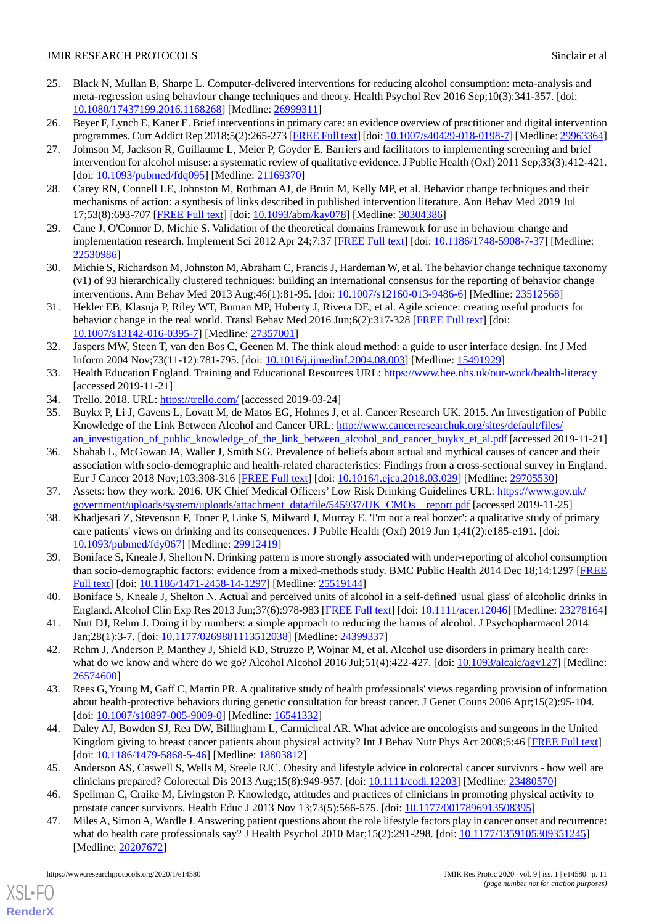- 25. Black N, Mullan B, Sharpe L. Computer-delivered interventions for reducing alcohol consumption: meta-analysis and meta-regression using behaviour change techniques and theory. Health Psychol Rev 2016 Sep;10(3):341-357. [doi: [10.1080/17437199.2016.1168268\]](http://dx.doi.org/10.1080/17437199.2016.1168268) [Medline: [26999311\]](http://www.ncbi.nlm.nih.gov/entrez/query.fcgi?cmd=Retrieve&db=PubMed&list_uids=26999311&dopt=Abstract)
- <span id="page-10-0"></span>26. Beyer F, Lynch E, Kaner E. Brief interventions in primary care: an evidence overview of practitioner and digital intervention programmes. Curr Addict Rep 2018;5(2):265-273 [\[FREE Full text](http://europepmc.org/abstract/MED/29963364)] [doi: [10.1007/s40429-018-0198-7\]](http://dx.doi.org/10.1007/s40429-018-0198-7) [Medline: [29963364\]](http://www.ncbi.nlm.nih.gov/entrez/query.fcgi?cmd=Retrieve&db=PubMed&list_uids=29963364&dopt=Abstract)
- 27. Johnson M, Jackson R, Guillaume L, Meier P, Goyder E. Barriers and facilitators to implementing screening and brief intervention for alcohol misuse: a systematic review of qualitative evidence. J Public Health (Oxf) 2011 Sep;33(3):412-421. [doi: [10.1093/pubmed/fdq095](http://dx.doi.org/10.1093/pubmed/fdq095)] [Medline: [21169370](http://www.ncbi.nlm.nih.gov/entrez/query.fcgi?cmd=Retrieve&db=PubMed&list_uids=21169370&dopt=Abstract)]
- <span id="page-10-2"></span><span id="page-10-1"></span>28. Carey RN, Connell LE, Johnston M, Rothman AJ, de Bruin M, Kelly MP, et al. Behavior change techniques and their mechanisms of action: a synthesis of links described in published intervention literature. Ann Behav Med 2019 Jul 17;53(8):693-707 [[FREE Full text](http://europepmc.org/abstract/MED/30304386)] [doi: [10.1093/abm/kay078](http://dx.doi.org/10.1093/abm/kay078)] [Medline: [30304386](http://www.ncbi.nlm.nih.gov/entrez/query.fcgi?cmd=Retrieve&db=PubMed&list_uids=30304386&dopt=Abstract)]
- <span id="page-10-3"></span>29. Cane J, O'Connor D, Michie S. Validation of the theoretical domains framework for use in behaviour change and implementation research. Implement Sci 2012 Apr 24;7:37 [[FREE Full text](https://implementationscience.biomedcentral.com/articles/10.1186/1748-5908-7-37)] [doi: [10.1186/1748-5908-7-37\]](http://dx.doi.org/10.1186/1748-5908-7-37) [Medline: [22530986](http://www.ncbi.nlm.nih.gov/entrez/query.fcgi?cmd=Retrieve&db=PubMed&list_uids=22530986&dopt=Abstract)]
- <span id="page-10-4"></span>30. Michie S, Richardson M, Johnston M, Abraham C, Francis J, Hardeman W, et al. The behavior change technique taxonomy (v1) of 93 hierarchically clustered techniques: building an international consensus for the reporting of behavior change interventions. Ann Behav Med 2013 Aug;46(1):81-95. [doi: [10.1007/s12160-013-9486-6\]](http://dx.doi.org/10.1007/s12160-013-9486-6) [Medline: [23512568\]](http://www.ncbi.nlm.nih.gov/entrez/query.fcgi?cmd=Retrieve&db=PubMed&list_uids=23512568&dopt=Abstract)
- <span id="page-10-5"></span>31. Hekler EB, Klasnja P, Riley WT, Buman MP, Huberty J, Rivera DE, et al. Agile science: creating useful products for behavior change in the real world. Transl Behav Med 2016 Jun;6(2):317-328 [\[FREE Full text\]](http://europepmc.org/abstract/MED/27357001) [doi: [10.1007/s13142-016-0395-7\]](http://dx.doi.org/10.1007/s13142-016-0395-7) [Medline: [27357001](http://www.ncbi.nlm.nih.gov/entrez/query.fcgi?cmd=Retrieve&db=PubMed&list_uids=27357001&dopt=Abstract)]
- <span id="page-10-6"></span>32. Jaspers MW, Steen T, van den Bos C, Geenen M. The think aloud method: a guide to user interface design. Int J Med Inform 2004 Nov;73(11-12):781-795. [doi: [10.1016/j.ijmedinf.2004.08.003\]](http://dx.doi.org/10.1016/j.ijmedinf.2004.08.003) [Medline: [15491929](http://www.ncbi.nlm.nih.gov/entrez/query.fcgi?cmd=Retrieve&db=PubMed&list_uids=15491929&dopt=Abstract)]
- <span id="page-10-8"></span><span id="page-10-7"></span>33. Health Education England. Training and Educational Resources URL: <https://www.hee.nhs.uk/our-work/health-literacy> [accessed 2019-11-21]
- 34. Trello. 2018. URL: <https://trello.com/> [accessed 2019-03-24]
- <span id="page-10-11"></span>35. Buykx P, Li J, Gavens L, Lovatt M, de Matos EG, Holmes J, et al. Cancer Research UK. 2015. An Investigation of Public Knowledge of the Link Between Alcohol and Cancer URL: [http://www.cancerresearchuk.org/sites/default/files/](http://www.cancerresearchuk.org/sites/default/files/an_investigation_of_public_knowledge_of_the_link_between_alcohol_and_cancer_buykx_et_al.pdf) [an\\_investigation\\_of\\_public\\_knowledge\\_of\\_the\\_link\\_between\\_alcohol\\_and\\_cancer\\_buykx\\_et\\_al.pdf](http://www.cancerresearchuk.org/sites/default/files/an_investigation_of_public_knowledge_of_the_link_between_alcohol_and_cancer_buykx_et_al.pdf) [accessed 2019-11-21]
- <span id="page-10-10"></span><span id="page-10-9"></span>36. Shahab L, McGowan JA, Waller J, Smith SG. Prevalence of beliefs about actual and mythical causes of cancer and their association with socio-demographic and health-related characteristics: Findings from a cross-sectional survey in England. Eur J Cancer 2018 Nov;103:308-316 [[FREE Full text](https://linkinghub.elsevier.com/retrieve/pii/S0959-8049(18)30778-0)] [doi: [10.1016/j.ejca.2018.03.029\]](http://dx.doi.org/10.1016/j.ejca.2018.03.029) [Medline: [29705530](http://www.ncbi.nlm.nih.gov/entrez/query.fcgi?cmd=Retrieve&db=PubMed&list_uids=29705530&dopt=Abstract)]
- <span id="page-10-12"></span>37. Assets: how they work. 2016. UK Chief Medical Officers' Low Risk Drinking Guidelines URL: [https://www.gov.uk/](https://www.gov.uk/government/uploads/system/uploads/attachment_data/file/545937/UK_CMOs__report.pdf) [government/uploads/system/uploads/attachment\\_data/file/545937/UK\\_CMOs\\_\\_report.pdf](https://www.gov.uk/government/uploads/system/uploads/attachment_data/file/545937/UK_CMOs__report.pdf) [accessed 2019-11-25]
- 38. Khadjesari Z, Stevenson F, Toner P, Linke S, Milward J, Murray E. 'I'm not a real boozer': a qualitative study of primary care patients' views on drinking and its consequences. J Public Health (Oxf) 2019 Jun 1;41(2):e185-e191. [doi: [10.1093/pubmed/fdy067](http://dx.doi.org/10.1093/pubmed/fdy067)] [Medline: [29912419\]](http://www.ncbi.nlm.nih.gov/entrez/query.fcgi?cmd=Retrieve&db=PubMed&list_uids=29912419&dopt=Abstract)
- <span id="page-10-14"></span><span id="page-10-13"></span>39. Boniface S, Kneale J, Shelton N. Drinking pattern is more strongly associated with under-reporting of alcohol consumption than socio-demographic factors: evidence from a mixed-methods study. BMC Public Health 2014 Dec 18;14:1297 [\[FREE](https://bmcpublichealth.biomedcentral.com/articles/10.1186/1471-2458-14-1297) [Full text\]](https://bmcpublichealth.biomedcentral.com/articles/10.1186/1471-2458-14-1297) [doi: [10.1186/1471-2458-14-1297](http://dx.doi.org/10.1186/1471-2458-14-1297)] [Medline: [25519144](http://www.ncbi.nlm.nih.gov/entrez/query.fcgi?cmd=Retrieve&db=PubMed&list_uids=25519144&dopt=Abstract)]
- <span id="page-10-15"></span>40. Boniface S, Kneale J, Shelton N. Actual and perceived units of alcohol in a self-defined 'usual glass' of alcoholic drinks in England. Alcohol Clin Exp Res 2013 Jun;37(6):978-983 [\[FREE Full text](https://dx.doi.org/10.1111/acer.12046)] [doi: [10.1111/acer.12046](http://dx.doi.org/10.1111/acer.12046)] [Medline: [23278164](http://www.ncbi.nlm.nih.gov/entrez/query.fcgi?cmd=Retrieve&db=PubMed&list_uids=23278164&dopt=Abstract)]
- <span id="page-10-16"></span>41. Nutt DJ, Rehm J. Doing it by numbers: a simple approach to reducing the harms of alcohol. J Psychopharmacol 2014 Jan;28(1):3-7. [doi: [10.1177/0269881113512038](http://dx.doi.org/10.1177/0269881113512038)] [Medline: [24399337\]](http://www.ncbi.nlm.nih.gov/entrez/query.fcgi?cmd=Retrieve&db=PubMed&list_uids=24399337&dopt=Abstract)
- 42. Rehm J, Anderson P, Manthey J, Shield KD, Struzzo P, Wojnar M, et al. Alcohol use disorders in primary health care: what do we know and where do we go? Alcohol Alcohol 2016 Jul;51(4):422-427. [doi:  $10.1093/alcalc/agv127$ ] [Medline: [26574600](http://www.ncbi.nlm.nih.gov/entrez/query.fcgi?cmd=Retrieve&db=PubMed&list_uids=26574600&dopt=Abstract)]
- 43. Rees G, Young M, Gaff C, Martin PR. A qualitative study of health professionals' views regarding provision of information about health-protective behaviors during genetic consultation for breast cancer. J Genet Couns 2006 Apr;15(2):95-104. [doi: [10.1007/s10897-005-9009-0](http://dx.doi.org/10.1007/s10897-005-9009-0)] [Medline: [16541332\]](http://www.ncbi.nlm.nih.gov/entrez/query.fcgi?cmd=Retrieve&db=PubMed&list_uids=16541332&dopt=Abstract)
- <span id="page-10-18"></span><span id="page-10-17"></span>44. Daley AJ, Bowden SJ, Rea DW, Billingham L, Carmicheal AR. What advice are oncologists and surgeons in the United Kingdom giving to breast cancer patients about physical activity? Int J Behav Nutr Phys Act 2008;5:46 [\[FREE Full text](http://www.ijbnpa.org/content/5//46)] [doi: [10.1186/1479-5868-5-46](http://dx.doi.org/10.1186/1479-5868-5-46)] [Medline: [18803812\]](http://www.ncbi.nlm.nih.gov/entrez/query.fcgi?cmd=Retrieve&db=PubMed&list_uids=18803812&dopt=Abstract)
- 45. Anderson AS, Caswell S, Wells M, Steele RJC. Obesity and lifestyle advice in colorectal cancer survivors how well are clinicians prepared? Colorectal Dis 2013 Aug;15(8):949-957. [doi: [10.1111/codi.12203\]](http://dx.doi.org/10.1111/codi.12203) [Medline: [23480570\]](http://www.ncbi.nlm.nih.gov/entrez/query.fcgi?cmd=Retrieve&db=PubMed&list_uids=23480570&dopt=Abstract)
- 46. Spellman C, Craike M, Livingston P. Knowledge, attitudes and practices of clinicians in promoting physical activity to prostate cancer survivors. Health Educ J 2013 Nov 13;73(5):566-575. [doi: [10.1177/0017896913508395\]](http://dx.doi.org/10.1177/0017896913508395)
- 47. Miles A, Simon A, Wardle J. Answering patient questions about the role lifestyle factors play in cancer onset and recurrence: what do health care professionals say? J Health Psychol 2010 Mar;15(2):291-298. [doi: [10.1177/1359105309351245\]](http://dx.doi.org/10.1177/1359105309351245) [Medline: [20207672](http://www.ncbi.nlm.nih.gov/entrez/query.fcgi?cmd=Retrieve&db=PubMed&list_uids=20207672&dopt=Abstract)]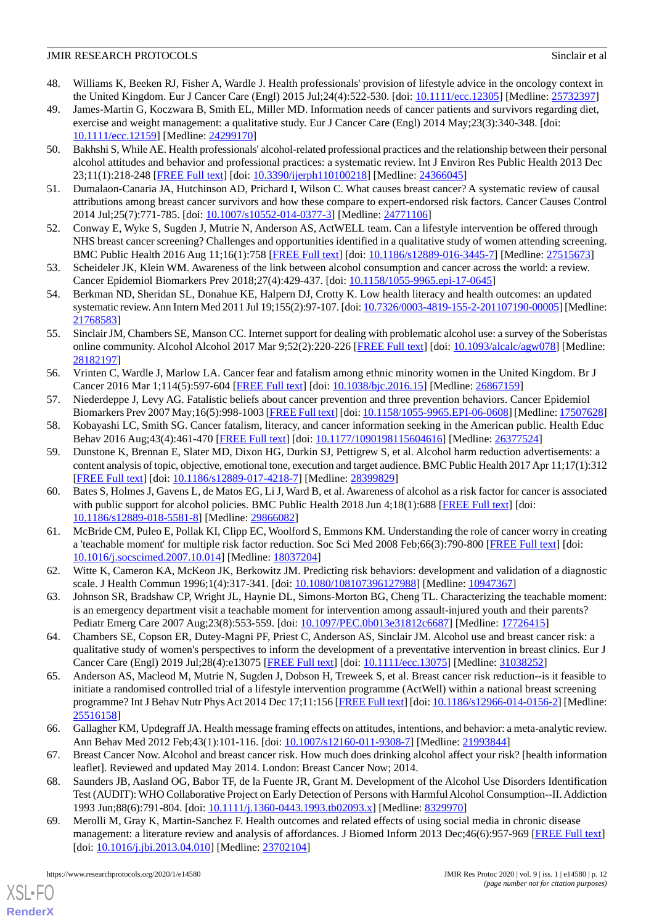- <span id="page-11-3"></span>48. Williams K, Beeken RJ, Fisher A, Wardle J. Health professionals' provision of lifestyle advice in the oncology context in the United Kingdom. Eur J Cancer Care (Engl) 2015 Jul;24(4):522-530. [doi: [10.1111/ecc.12305](http://dx.doi.org/10.1111/ecc.12305)] [Medline: [25732397](http://www.ncbi.nlm.nih.gov/entrez/query.fcgi?cmd=Retrieve&db=PubMed&list_uids=25732397&dopt=Abstract)]
- <span id="page-11-4"></span>49. James-Martin G, Koczwara B, Smith EL, Miller MD. Information needs of cancer patients and survivors regarding diet, exercise and weight management: a qualitative study. Eur J Cancer Care (Engl) 2014 May;23(3):340-348. [doi: [10.1111/ecc.12159\]](http://dx.doi.org/10.1111/ecc.12159) [Medline: [24299170](http://www.ncbi.nlm.nih.gov/entrez/query.fcgi?cmd=Retrieve&db=PubMed&list_uids=24299170&dopt=Abstract)]
- <span id="page-11-5"></span>50. Bakhshi S, While AE. Health professionals' alcohol-related professional practices and the relationship between their personal alcohol attitudes and behavior and professional practices: a systematic review. Int J Environ Res Public Health 2013 Dec 23;11(1):218-248 [[FREE Full text](http://www.mdpi.com/resolver?pii=ijerph110100218)] [doi: [10.3390/ijerph110100218](http://dx.doi.org/10.3390/ijerph110100218)] [Medline: [24366045\]](http://www.ncbi.nlm.nih.gov/entrez/query.fcgi?cmd=Retrieve&db=PubMed&list_uids=24366045&dopt=Abstract)
- <span id="page-11-7"></span><span id="page-11-6"></span>51. Dumalaon-Canaria JA, Hutchinson AD, Prichard I, Wilson C. What causes breast cancer? A systematic review of causal attributions among breast cancer survivors and how these compare to expert-endorsed risk factors. Cancer Causes Control 2014 Jul;25(7):771-785. [doi: [10.1007/s10552-014-0377-3\]](http://dx.doi.org/10.1007/s10552-014-0377-3) [Medline: [24771106\]](http://www.ncbi.nlm.nih.gov/entrez/query.fcgi?cmd=Retrieve&db=PubMed&list_uids=24771106&dopt=Abstract)
- <span id="page-11-8"></span>52. Conway E, Wyke S, Sugden J, Mutrie N, Anderson AS, ActWELL team. Can a lifestyle intervention be offered through NHS breast cancer screening? Challenges and opportunities identified in a qualitative study of women attending screening. BMC Public Health 2016 Aug 11;16(1):758 [\[FREE Full text\]](https://bmcpublichealth.biomedcentral.com/articles/10.1186/s12889-016-3445-7) [doi: [10.1186/s12889-016-3445-7\]](http://dx.doi.org/10.1186/s12889-016-3445-7) [Medline: [27515673\]](http://www.ncbi.nlm.nih.gov/entrez/query.fcgi?cmd=Retrieve&db=PubMed&list_uids=27515673&dopt=Abstract)
- <span id="page-11-9"></span>53. Scheideler JK, Klein WM. Awareness of the link between alcohol consumption and cancer across the world: a review. Cancer Epidemiol Biomarkers Prev 2018;27(4):429-437. [doi: [10.1158/1055-9965.epi-17-0645](http://dx.doi.org/10.1158/1055-9965.epi-17-0645)]
- <span id="page-11-10"></span>54. Berkman ND, Sheridan SL, Donahue KE, Halpern DJ, Crotty K. Low health literacy and health outcomes: an updated systematic review. Ann Intern Med 2011 Jul 19;155(2):97-107. [doi: [10.7326/0003-4819-155-2-201107190-00005](http://dx.doi.org/10.7326/0003-4819-155-2-201107190-00005)] [Medline: [21768583](http://www.ncbi.nlm.nih.gov/entrez/query.fcgi?cmd=Retrieve&db=PubMed&list_uids=21768583&dopt=Abstract)]
- <span id="page-11-11"></span>55. Sinclair JM, Chambers SE, Manson CC. Internet support for dealing with problematic alcohol use: a survey of the Soberistas online community. Alcohol Alcohol 2017 Mar 9;52(2):220-226 [\[FREE Full text\]](http://europepmc.org/abstract/MED/28182197) [doi: [10.1093/alcalc/agw078\]](http://dx.doi.org/10.1093/alcalc/agw078) [Medline: [28182197](http://www.ncbi.nlm.nih.gov/entrez/query.fcgi?cmd=Retrieve&db=PubMed&list_uids=28182197&dopt=Abstract)]
- <span id="page-11-2"></span><span id="page-11-1"></span>56. Vrinten C, Wardle J, Marlow LA. Cancer fear and fatalism among ethnic minority women in the United Kingdom. Br J Cancer 2016 Mar 1;114(5):597-604 [\[FREE Full text\]](http://dx.doi.org/10.1038/bjc.2016.15) [doi: [10.1038/bjc.2016.15\]](http://dx.doi.org/10.1038/bjc.2016.15) [Medline: [26867159](http://www.ncbi.nlm.nih.gov/entrez/query.fcgi?cmd=Retrieve&db=PubMed&list_uids=26867159&dopt=Abstract)]
- <span id="page-11-12"></span>57. Niederdeppe J, Levy AG. Fatalistic beliefs about cancer prevention and three prevention behaviors. Cancer Epidemiol Biomarkers Prev 2007 May;16(5):998-1003 [[FREE Full text](http://cebp.aacrjournals.org/cgi/pmidlookup?view=long&pmid=17507628)] [doi: [10.1158/1055-9965.EPI-06-0608](http://dx.doi.org/10.1158/1055-9965.EPI-06-0608)] [Medline: [17507628](http://www.ncbi.nlm.nih.gov/entrez/query.fcgi?cmd=Retrieve&db=PubMed&list_uids=17507628&dopt=Abstract)]
- 58. Kobayashi LC, Smith SG. Cancer fatalism, literacy, and cancer information seeking in the American public. Health Educ Behav 2016 Aug;43(4):461-470 [[FREE Full text](http://europepmc.org/abstract/MED/26377524)] [doi: [10.1177/1090198115604616\]](http://dx.doi.org/10.1177/1090198115604616) [Medline: [26377524\]](http://www.ncbi.nlm.nih.gov/entrez/query.fcgi?cmd=Retrieve&db=PubMed&list_uids=26377524&dopt=Abstract)
- <span id="page-11-0"></span>59. Dunstone K, Brennan E, Slater MD, Dixon HG, Durkin SJ, Pettigrew S, et al. Alcohol harm reduction advertisements: a content analysis of topic, objective, emotional tone, execution and target audience. BMC Public Health 2017 Apr 11;17(1):312 [[FREE Full text](https://bmcpublichealth.biomedcentral.com/articles/10.1186/s12889-017-4218-7)] [doi: [10.1186/s12889-017-4218-7\]](http://dx.doi.org/10.1186/s12889-017-4218-7) [Medline: [28399829](http://www.ncbi.nlm.nih.gov/entrez/query.fcgi?cmd=Retrieve&db=PubMed&list_uids=28399829&dopt=Abstract)]
- <span id="page-11-13"></span>60. Bates S, Holmes J, Gavens L, de Matos EG, Li J, Ward B, et al. Awareness of alcohol as a risk factor for cancer is associated with public support for alcohol policies. BMC Public Health 2018 Jun 4;18(1):688 [[FREE Full text](https://bmcpublichealth.biomedcentral.com/articles/10.1186/s12889-018-5581-8)] [doi: [10.1186/s12889-018-5581-8\]](http://dx.doi.org/10.1186/s12889-018-5581-8) [Medline: [29866082](http://www.ncbi.nlm.nih.gov/entrez/query.fcgi?cmd=Retrieve&db=PubMed&list_uids=29866082&dopt=Abstract)]
- <span id="page-11-15"></span><span id="page-11-14"></span>61. McBride CM, Puleo E, Pollak KI, Clipp EC, Woolford S, Emmons KM. Understanding the role of cancer worry in creating a 'teachable moment' for multiple risk factor reduction. Soc Sci Med 2008 Feb;66(3):790-800 [\[FREE Full text](http://europepmc.org/abstract/MED/18037204)] [doi: [10.1016/j.socscimed.2007.10.014](http://dx.doi.org/10.1016/j.socscimed.2007.10.014)] [Medline: [18037204](http://www.ncbi.nlm.nih.gov/entrez/query.fcgi?cmd=Retrieve&db=PubMed&list_uids=18037204&dopt=Abstract)]
- <span id="page-11-16"></span>62. Witte K, Cameron KA, McKeon JK, Berkowitz JM. Predicting risk behaviors: development and validation of a diagnostic scale. J Health Commun 1996;1(4):317-341. [doi: [10.1080/108107396127988](http://dx.doi.org/10.1080/108107396127988)] [Medline: [10947367\]](http://www.ncbi.nlm.nih.gov/entrez/query.fcgi?cmd=Retrieve&db=PubMed&list_uids=10947367&dopt=Abstract)
- <span id="page-11-17"></span>63. Johnson SR, Bradshaw CP, Wright JL, Haynie DL, Simons-Morton BG, Cheng TL. Characterizing the teachable moment: is an emergency department visit a teachable moment for intervention among assault-injured youth and their parents? Pediatr Emerg Care 2007 Aug;23(8):553-559. [doi: [10.1097/PEC.0b013e31812c6687\]](http://dx.doi.org/10.1097/PEC.0b013e31812c6687) [Medline: [17726415\]](http://www.ncbi.nlm.nih.gov/entrez/query.fcgi?cmd=Retrieve&db=PubMed&list_uids=17726415&dopt=Abstract)
- 64. Chambers SE, Copson ER, Dutey-Magni PF, Priest C, Anderson AS, Sinclair JM. Alcohol use and breast cancer risk: a qualitative study of women's perspectives to inform the development of a preventative intervention in breast clinics. Eur J Cancer Care (Engl) 2019 Jul;28(4):e13075 [\[FREE Full text\]](http://europepmc.org/abstract/MED/31038252) [doi: [10.1111/ecc.13075](http://dx.doi.org/10.1111/ecc.13075)] [Medline: [31038252\]](http://www.ncbi.nlm.nih.gov/entrez/query.fcgi?cmd=Retrieve&db=PubMed&list_uids=31038252&dopt=Abstract)
- <span id="page-11-19"></span><span id="page-11-18"></span>65. Anderson AS, Macleod M, Mutrie N, Sugden J, Dobson H, Treweek S, et al. Breast cancer risk reduction--is it feasible to initiate a randomised controlled trial of a lifestyle intervention programme (ActWell) within a national breast screening programme? Int J Behav Nutr Phys Act 2014 Dec 17;11:156 [\[FREE Full text\]](https://ijbnpa.biomedcentral.com/articles/10.1186/s12966-014-0156-2) [doi: [10.1186/s12966-014-0156-2](http://dx.doi.org/10.1186/s12966-014-0156-2)] [Medline: [25516158](http://www.ncbi.nlm.nih.gov/entrez/query.fcgi?cmd=Retrieve&db=PubMed&list_uids=25516158&dopt=Abstract)]
- <span id="page-11-21"></span><span id="page-11-20"></span>66. Gallagher KM, Updegraff JA. Health message framing effects on attitudes, intentions, and behavior: a meta-analytic review. Ann Behav Med 2012 Feb;43(1):101-116. [doi: [10.1007/s12160-011-9308-7\]](http://dx.doi.org/10.1007/s12160-011-9308-7) [Medline: [21993844](http://www.ncbi.nlm.nih.gov/entrez/query.fcgi?cmd=Retrieve&db=PubMed&list_uids=21993844&dopt=Abstract)]
- 67. Breast Cancer Now. Alcohol and breast cancer risk. How much does drinking alcohol affect your risk? [health information leaflet]. Reviewed and updated May 2014. London: Breast Cancer Now; 2014.
- 68. Saunders JB, Aasland OG, Babor TF, de la Fuente JR, Grant M. Development of the Alcohol Use Disorders Identification Test (AUDIT): WHO Collaborative Project on Early Detection of Persons with Harmful Alcohol Consumption--II. Addiction 1993 Jun;88(6):791-804. [doi: [10.1111/j.1360-0443.1993.tb02093.x](http://dx.doi.org/10.1111/j.1360-0443.1993.tb02093.x)] [Medline: [8329970\]](http://www.ncbi.nlm.nih.gov/entrez/query.fcgi?cmd=Retrieve&db=PubMed&list_uids=8329970&dopt=Abstract)
- 69. Merolli M, Gray K, Martin-Sanchez F. Health outcomes and related effects of using social media in chronic disease management: a literature review and analysis of affordances. J Biomed Inform 2013 Dec;46(6):957-969 [\[FREE Full text\]](https://linkinghub.elsevier.com/retrieve/pii/S1532-0464(13)00067-1) [doi: [10.1016/j.jbi.2013.04.010\]](http://dx.doi.org/10.1016/j.jbi.2013.04.010) [Medline: [23702104](http://www.ncbi.nlm.nih.gov/entrez/query.fcgi?cmd=Retrieve&db=PubMed&list_uids=23702104&dopt=Abstract)]